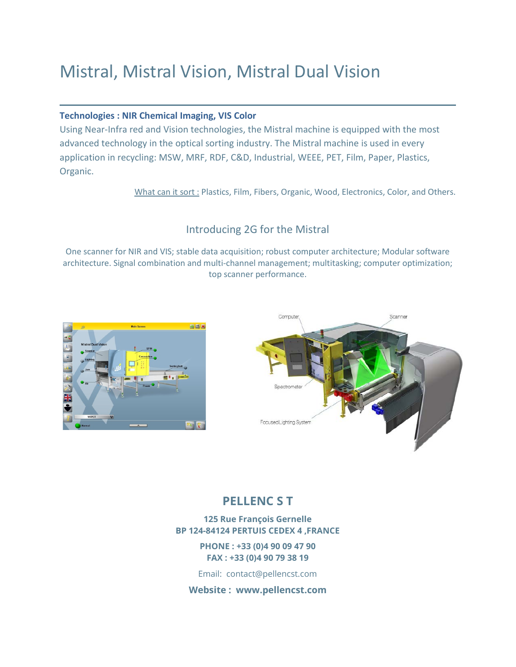# Mistral, Mistral Vision, Mistral Dual Vision

#### **Technologies : NIR Chemical Imaging, VIS Color**

Using Near-Infra red and Vision technologies, the Mistral machine is equipped with the most advanced technology in the optical sorting industry. The Mistral machine is used in every application in recycling: MSW, MRF, RDF, C&D, Industrial, WEEE, PET, Film, Paper, Plastics, Organic.

What can it sort : Plastics, Film, Fibers, Organic, Wood, Electronics, Color, and Others.

### Introducing 2G for the Mistral

One scanner for NIR and VIS; stable data acquisition; robust computer architecture; Modular software architecture. Signal combination and multi-channel management; multitasking; computer optimization; top scanner performance.





### **PELLENC S T**

**125 Rue François Gernelle BP 124-84124 PERTUIS CEDEX 4 ,FRANCE**

> **PHONE : +33 (0)4 90 09 47 90 FAX : +33 (0)4 90 79 38 19**

Email: contact@pellencst.com

**Website : www.pellencst.com**